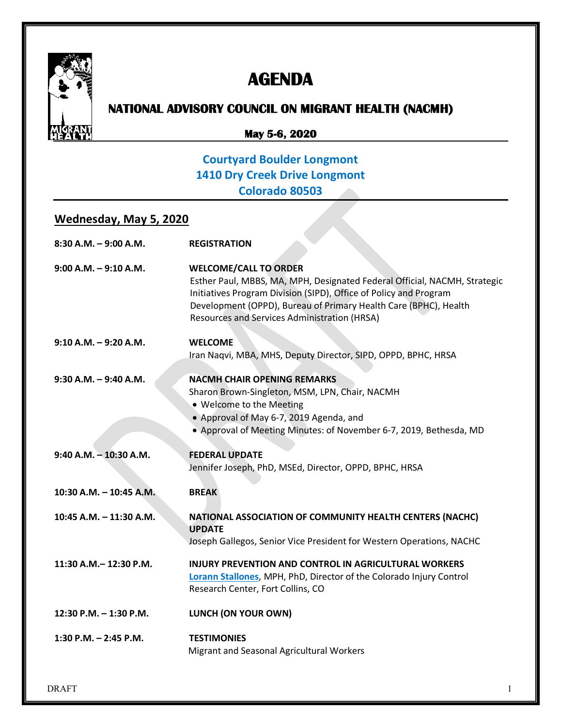

# **AGENDA**

# **NATIONAL ADVISORY COUNCIL ON MIGRANT HEALTH (NACMH)**

#### **May 5-6, 2020**

### **Courtyard Boulder Longmont 1410 Dry Creek Drive Longmont Colorado 80503**

#### **Wednesday, May 5, 2020**

| $8:30$ A.M. $-9:00$ A.M.  | <b>REGISTRATION</b>                                                                                                                                                                                                                                                                                |
|---------------------------|----------------------------------------------------------------------------------------------------------------------------------------------------------------------------------------------------------------------------------------------------------------------------------------------------|
| $9:00$ A.M. $-9:10$ A.M.  | <b>WELCOME/CALL TO ORDER</b><br>Esther Paul, MBBS, MA, MPH, Designated Federal Official, NACMH, Strategic<br>Initiatives Program Division (SIPD), Office of Policy and Program<br>Development (OPPD), Bureau of Primary Health Care (BPHC), Health<br>Resources and Services Administration (HRSA) |
| $9:10 A.M. - 9:20 A.M.$   | <b>WELCOME</b><br>Iran Naqvi, MBA, MHS, Deputy Director, SIPD, OPPD, BPHC, HRSA                                                                                                                                                                                                                    |
| $9:30$ A.M. - $9:40$ A.M. | <b>NACMH CHAIR OPENING REMARKS</b><br>Sharon Brown-Singleton, MSM, LPN, Chair, NACMH<br>. Welcome to the Meeting<br>• Approval of May 6-7, 2019 Agenda, and<br>• Approval of Meeting Minutes: of November 6-7, 2019, Bethesda, MD                                                                  |
| $9:40$ A.M. $-10:30$ A.M. | <b>FEDERAL UPDATE</b><br>Jennifer Joseph, PhD, MSEd, Director, OPPD, BPHC, HRSA                                                                                                                                                                                                                    |
| 10:30 A.M. - 10:45 A.M.   | <b>BREAK</b>                                                                                                                                                                                                                                                                                       |
| 10:45 A.M. - 11:30 A.M.   | NATIONAL ASSOCIATION OF COMMUNITY HEALTH CENTERS (NACHC)<br><b>UPDATE</b><br>Joseph Gallegos, Senior Vice President for Western Operations, NACHC                                                                                                                                                  |
| 11:30 A.M. - 12:30 P.M.   | <b>INJURY PREVENTION AND CONTROL IN AGRICULTURAL WORKERS</b><br>Lorann Stallones, MPH, PhD, Director of the Colorado Injury Control<br>Research Center, Fort Collins, CO                                                                                                                           |
| 12:30 P.M. - 1:30 P.M.    | LUNCH (ON YOUR OWN)                                                                                                                                                                                                                                                                                |
| 1:30 P.M. $-$ 2:45 P.M.   | <b>TESTIMONIES</b><br>Migrant and Seasonal Agricultural Workers                                                                                                                                                                                                                                    |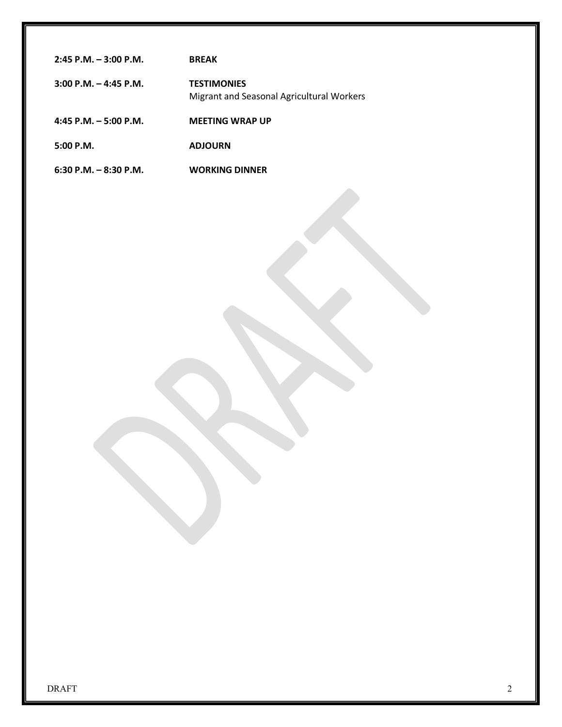| $2:45$ P.M. $-3:00$ P.M.  | <b>BRFAK</b>                                                    |
|---------------------------|-----------------------------------------------------------------|
| $3:00$ P.M. $-$ 4:45 P.M. | <b>TESTIMONIES</b><br>Migrant and Seasonal Agricultural Workers |
| $4:45$ P.M. $-5:00$ P.M.  | <b>MEETING WRAP UP</b>                                          |
| $5:00$ P.M.               | <b>ADJOURN</b>                                                  |
| $6:30$ P.M. $-8:30$ P.M.  | <b>WORKING DINNER</b>                                           |
|                           |                                                                 |